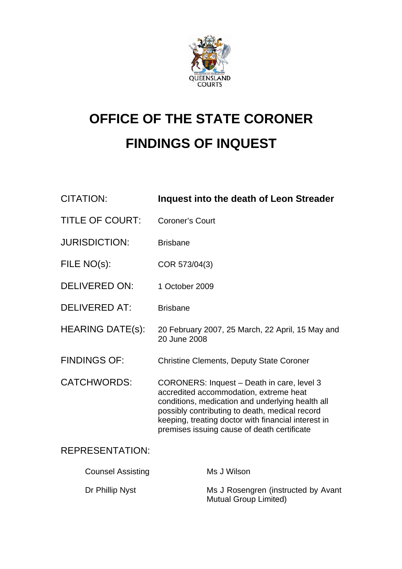

# **OFFICE OF THE STATE CORONER FINDINGS OF INQUEST**

| <b>CITATION:</b>         | <b>Inquest into the death of Leon Streader</b>                                                                                                                                                                                                                                                   |
|--------------------------|--------------------------------------------------------------------------------------------------------------------------------------------------------------------------------------------------------------------------------------------------------------------------------------------------|
| <b>TITLE OF COURT:</b>   | <b>Coroner's Court</b>                                                                                                                                                                                                                                                                           |
| <b>JURISDICTION:</b>     | <b>Brisbane</b>                                                                                                                                                                                                                                                                                  |
| FILE NO(s):              | COR 573/04(3)                                                                                                                                                                                                                                                                                    |
| <b>DELIVERED ON:</b>     | 1 October 2009                                                                                                                                                                                                                                                                                   |
| <b>DELIVERED AT:</b>     | <b>Brisbane</b>                                                                                                                                                                                                                                                                                  |
| <b>HEARING DATE(s):</b>  | 20 February 2007, 25 March, 22 April, 15 May and<br>20 June 2008                                                                                                                                                                                                                                 |
| <b>FINDINGS OF:</b>      | <b>Christine Clements, Deputy State Coroner</b>                                                                                                                                                                                                                                                  |
| <b>CATCHWORDS:</b>       | CORONERS: Inquest - Death in care, level 3<br>accredited accommodation, extreme heat<br>conditions, medication and underlying health all<br>possibly contributing to death, medical record<br>keeping, treating doctor with financial interest in<br>premises issuing cause of death certificate |
| <b>REPRESENTATION:</b>   |                                                                                                                                                                                                                                                                                                  |
| <b>Counsel Assisting</b> | Ms J Wilson                                                                                                                                                                                                                                                                                      |
| Dr Phillip Nyst          | Ms J Rosengren (instructed by Avant<br>Mutual Group Limited)                                                                                                                                                                                                                                     |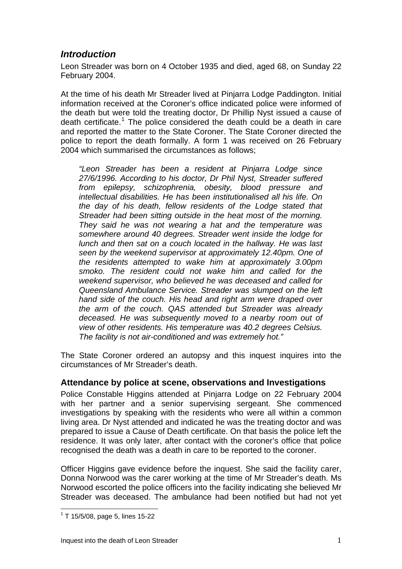# *Introduction*

Leon Streader was born on 4 October 1935 and died, aged 68, on Sunday 22 February 2004.

At the time of his death Mr Streader lived at Pinjarra Lodge Paddington. Initial information received at the Coroner's office indicated police were informed of the death but were told the treating doctor, Dr Phillip Nyst issued a cause of death certificate.<sup>[1](#page-1-0)</sup> The police considered the death could be a death in care and reported the matter to the State Coroner. The State Coroner directed the police to report the death formally. A form 1 was received on 26 February 2004 which summarised the circumstances as follows;

*"Leon Streader has been a resident at Pinjarra Lodge since 27/6/1996. According to his doctor, Dr Phil Nyst, Streader suffered from epilepsy, schizophrenia, obesity, blood pressure and intellectual disabilities. He has been institutionalised all his life. On the day of his death, fellow residents of the Lodge stated that Streader had been sitting outside in the heat most of the morning. They said he was not wearing a hat and the temperature was somewhere around 40 degrees. Streader went inside the lodge for lunch and then sat on a couch located in the hallway. He was last seen by the weekend supervisor at approximately 12.40pm. One of the residents attempted to wake him at approximately 3.00pm smoko. The resident could not wake him and called for the weekend supervisor, who believed he was deceased and called for Queensland Ambulance Service. Streader was slumped on the left hand side of the couch. His head and right arm were draped over the arm of the couch. QAS attended but Streader was already deceased. He was subsequently moved to a nearby room out of view of other residents. His temperature was 40.2 degrees Celsius. The facility is not air-conditioned and was extremely hot."* 

The State Coroner ordered an autopsy and this inquest inquires into the circumstances of Mr Streader's death.

## **Attendance by police at scene, observations and Investigations**

Police Constable Higgins attended at Pinjarra Lodge on 22 February 2004 with her partner and a senior supervising sergeant. She commenced investigations by speaking with the residents who were all within a common living area. Dr Nyst attended and indicated he was the treating doctor and was prepared to issue a Cause of Death certificate. On that basis the police left the residence. It was only later, after contact with the coroner's office that police recognised the death was a death in care to be reported to the coroner.

Officer Higgins gave evidence before the inquest. She said the facility carer, Donna Norwood was the carer working at the time of Mr Streader's death. Ms Norwood escorted the police officers into the facility indicating she believed Mr Streader was deceased. The ambulance had been notified but had not yet

<span id="page-1-0"></span> $\overline{a}$  $1$  T 15/5/08, page 5, lines 15-22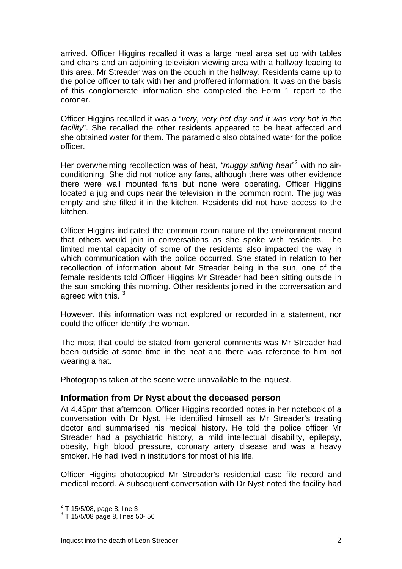arrived. Officer Higgins recalled it was a large meal area set up with tables and chairs and an adjoining television viewing area with a hallway leading to this area. Mr Streader was on the couch in the hallway. Residents came up to the police officer to talk with her and proffered information. It was on the basis of this conglomerate information she completed the Form 1 report to the coroner.

Officer Higgins recalled it was a "*very, very hot day and it was very hot in the facility*". She recalled the other residents appeared to be heat affected and she obtained water for them. The paramedic also obtained water for the police officer.

Her overwhelming recollection was of heat, "muggy stifling heat"<sup>[2](#page-2-0)</sup> with no airconditioning. She did not notice any fans, although there was other evidence there were wall mounted fans but none were operating. Officer Higgins located a jug and cups near the television in the common room. The jug was empty and she filled it in the kitchen. Residents did not have access to the kitchen.

Officer Higgins indicated the common room nature of the environment meant that others would join in conversations as she spoke with residents. The limited mental capacity of some of the residents also impacted the way in which communication with the police occurred. She stated in relation to her recollection of information about Mr Streader being in the sun, one of the female residents told Officer Higgins Mr Streader had been sitting outside in the sun smoking this morning. Other residents joined in the conversation and agreed with this.  $3\overline{3}$  $3\overline{3}$ 

However, this information was not explored or recorded in a statement, nor could the officer identify the woman.

The most that could be stated from general comments was Mr Streader had been outside at some time in the heat and there was reference to him not wearing a hat.

Photographs taken at the scene were unavailable to the inquest.

## **Information from Dr Nyst about the deceased person**

At 4.45pm that afternoon, Officer Higgins recorded notes in her notebook of a conversation with Dr Nyst. He identified himself as Mr Streader's treating doctor and summarised his medical history. He told the police officer Mr Streader had a psychiatric history, a mild intellectual disability, epilepsy, obesity, high blood pressure, coronary artery disease and was a heavy smoker. He had lived in institutions for most of his life.

Officer Higgins photocopied Mr Streader's residential case file record and medical record. A subsequent conversation with Dr Nyst noted the facility had

<span id="page-2-0"></span> $2$  T 15/5/08, page 8, line 3

<span id="page-2-1"></span><sup>3</sup> T 15/5/08 page 8, lines 50- 56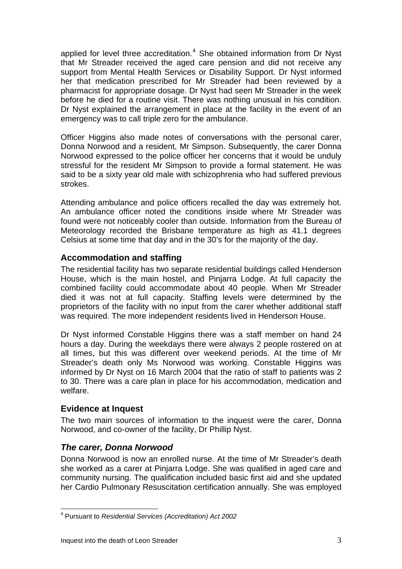applied for level three accreditation. $4$  She obtained information from Dr Nyst that Mr Streader received the aged care pension and did not receive any support from Mental Health Services or Disability Support. Dr Nyst informed her that medication prescribed for Mr Streader had been reviewed by a pharmacist for appropriate dosage. Dr Nyst had seen Mr Streader in the week before he died for a routine visit. There was nothing unusual in his condition. Dr Nyst explained the arrangement in place at the facility in the event of an emergency was to call triple zero for the ambulance.

Officer Higgins also made notes of conversations with the personal carer, Donna Norwood and a resident, Mr Simpson. Subsequently, the carer Donna Norwood expressed to the police officer her concerns that it would be unduly stressful for the resident Mr Simpson to provide a formal statement. He was said to be a sixty year old male with schizophrenia who had suffered previous strokes.

Attending ambulance and police officers recalled the day was extremely hot. An ambulance officer noted the conditions inside where Mr Streader was found were not noticeably cooler than outside. Information from the Bureau of Meteorology recorded the Brisbane temperature as high as 41.1 degrees Celsius at some time that day and in the 30's for the majority of the day.

## **Accommodation and staffing**

The residential facility has two separate residential buildings called Henderson House, which is the main hostel, and Pinjarra Lodge. At full capacity the combined facility could accommodate about 40 people. When Mr Streader died it was not at full capacity. Staffing levels were determined by the proprietors of the facility with no input from the carer whether additional staff was required. The more independent residents lived in Henderson House.

Dr Nyst informed Constable Higgins there was a staff member on hand 24 hours a day. During the weekdays there were always 2 people rostered on at all times, but this was different over weekend periods. At the time of Mr Streader's death only Ms Norwood was working. Constable Higgins was informed by Dr Nyst on 16 March 2004 that the ratio of staff to patients was 2 to 30. There was a care plan in place for his accommodation, medication and welfare.

## **Evidence at Inquest**

The two main sources of information to the inquest were the carer, Donna Norwood, and co-owner of the facility, Dr Phillip Nyst.

# *The carer, Donna Norwood*

Donna Norwood is now an enrolled nurse. At the time of Mr Streader's death she worked as a carer at Pinjarra Lodge. She was qualified in aged care and community nursing. The qualification included basic first aid and she updated her Cardio Pulmonary Resuscitation certification annually. She was employed

<span id="page-3-0"></span> $\overline{a}$ 4 Pursuant to *Residential Services (Accreditation) Act 2002*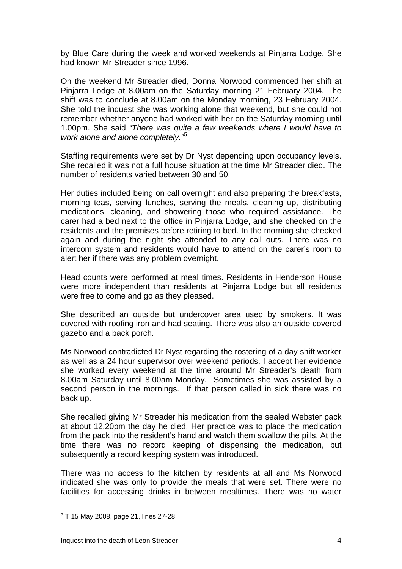by Blue Care during the week and worked weekends at Pinjarra Lodge. She had known Mr Streader since 1996.

On the weekend Mr Streader died, Donna Norwood commenced her shift at Pinjarra Lodge at 8.00am on the Saturday morning 21 February 2004. The shift was to conclude at 8.00am on the Monday morning, 23 February 2004. She told the inquest she was working alone that weekend, but she could not remember whether anyone had worked with her on the Saturday morning until 1.00pm. She said *"There was quite a few weekends where I would have to work alone and alone completely."*[5](#page-4-0)

Staffing requirements were set by Dr Nyst depending upon occupancy levels. She recalled it was not a full house situation at the time Mr Streader died. The number of residents varied between 30 and 50.

Her duties included being on call overnight and also preparing the breakfasts, morning teas, serving lunches, serving the meals, cleaning up, distributing medications, cleaning, and showering those who required assistance. The carer had a bed next to the office in Pinjarra Lodge, and she checked on the residents and the premises before retiring to bed. In the morning she checked again and during the night she attended to any call outs. There was no intercom system and residents would have to attend on the carer's room to alert her if there was any problem overnight.

Head counts were performed at meal times. Residents in Henderson House were more independent than residents at Pinjarra Lodge but all residents were free to come and go as they pleased.

She described an outside but undercover area used by smokers. It was covered with roofing iron and had seating. There was also an outside covered gazebo and a back porch.

Ms Norwood contradicted Dr Nyst regarding the rostering of a day shift worker as well as a 24 hour supervisor over weekend periods. I accept her evidence she worked every weekend at the time around Mr Streader's death from 8.00am Saturday until 8.00am Monday. Sometimes she was assisted by a second person in the mornings. If that person called in sick there was no back up.

She recalled giving Mr Streader his medication from the sealed Webster pack at about 12.20pm the day he died. Her practice was to place the medication from the pack into the resident's hand and watch them swallow the pills. At the time there was no record keeping of dispensing the medication, but subsequently a record keeping system was introduced.

There was no access to the kitchen by residents at all and Ms Norwood indicated she was only to provide the meals that were set. There were no facilities for accessing drinks in between mealtimes. There was no water

<span id="page-4-0"></span><sup>&</sup>lt;sup>5</sup> T 15 May 2008, page 21, lines 27-28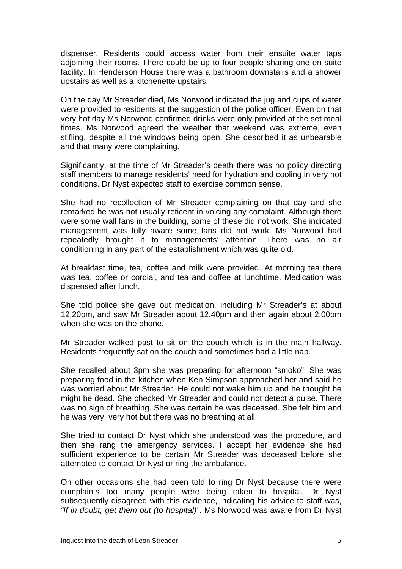dispenser. Residents could access water from their ensuite water taps adjoining their rooms. There could be up to four people sharing one en suite facility. In Henderson House there was a bathroom downstairs and a shower upstairs as well as a kitchenette upstairs.

On the day Mr Streader died, Ms Norwood indicated the jug and cups of water were provided to residents at the suggestion of the police officer. Even on that very hot day Ms Norwood confirmed drinks were only provided at the set meal times. Ms Norwood agreed the weather that weekend was extreme, even stifling, despite all the windows being open. She described it as unbearable and that many were complaining.

Significantly, at the time of Mr Streader's death there was no policy directing staff members to manage residents' need for hydration and cooling in very hot conditions. Dr Nyst expected staff to exercise common sense.

She had no recollection of Mr Streader complaining on that day and she remarked he was not usually reticent in voicing any complaint. Although there were some wall fans in the building, some of these did not work. She indicated management was fully aware some fans did not work. Ms Norwood had repeatedly brought it to managements' attention. There was no air conditioning in any part of the establishment which was quite old.

At breakfast time, tea, coffee and milk were provided. At morning tea there was tea, coffee or cordial, and tea and coffee at lunchtime. Medication was dispensed after lunch.

She told police she gave out medication, including Mr Streader's at about 12.20pm, and saw Mr Streader about 12.40pm and then again about 2.00pm when she was on the phone.

Mr Streader walked past to sit on the couch which is in the main hallway. Residents frequently sat on the couch and sometimes had a little nap.

She recalled about 3pm she was preparing for afternoon "smoko". She was preparing food in the kitchen when Ken Simpson approached her and said he was worried about Mr Streader. He could not wake him up and he thought he might be dead. She checked Mr Streader and could not detect a pulse. There was no sign of breathing. She was certain he was deceased. She felt him and he was very, very hot but there was no breathing at all.

She tried to contact Dr Nyst which she understood was the procedure, and then she rang the emergency services. I accept her evidence she had sufficient experience to be certain Mr Streader was deceased before she attempted to contact Dr Nyst or ring the ambulance.

On other occasions she had been told to ring Dr Nyst because there were complaints too many people were being taken to hospital. Dr Nyst subsequently disagreed with this evidence, indicating his advice to staff was, *"If in doubt, get them out (to hospital)"*. Ms Norwood was aware from Dr Nyst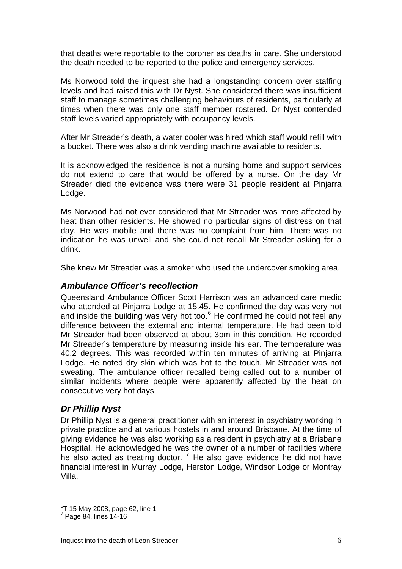that deaths were reportable to the coroner as deaths in care. She understood the death needed to be reported to the police and emergency services.

Ms Norwood told the inquest she had a longstanding concern over staffing levels and had raised this with Dr Nyst. She considered there was insufficient staff to manage sometimes challenging behaviours of residents, particularly at times when there was only one staff member rostered. Dr Nyst contended staff levels varied appropriately with occupancy levels.

After Mr Streader's death, a water cooler was hired which staff would refill with a bucket. There was also a drink vending machine available to residents.

It is acknowledged the residence is not a nursing home and support services do not extend to care that would be offered by a nurse. On the day Mr Streader died the evidence was there were 31 people resident at Pinjarra Lodge.

Ms Norwood had not ever considered that Mr Streader was more affected by heat than other residents. He showed no particular signs of distress on that day. He was mobile and there was no complaint from him. There was no indication he was unwell and she could not recall Mr Streader asking for a drink.

She knew Mr Streader was a smoker who used the undercover smoking area.

## *Ambulance Officer's recollection*

Queensland Ambulance Officer Scott Harrison was an advanced care medic who attended at Pinjarra Lodge at 15.45. He confirmed the day was very hot and inside the building was very hot too. $<sup>6</sup>$  $<sup>6</sup>$  $<sup>6</sup>$  He confirmed he could not feel any</sup> difference between the external and internal temperature. He had been told Mr Streader had been observed at about 3pm in this condition. He recorded Mr Streader's temperature by measuring inside his ear. The temperature was 40.2 degrees. This was recorded within ten minutes of arriving at Pinjarra Lodge. He noted dry skin which was hot to the touch. Mr Streader was not sweating. The ambulance officer recalled being called out to a number of similar incidents where people were apparently affected by the heat on consecutive very hot days.

## *Dr Phillip Nyst*

Dr Phillip Nyst is a general practitioner with an interest in psychiatry working in private practice and at various hostels in and around Brisbane. At the time of giving evidence he was also working as a resident in psychiatry at a Brisbane Hospital. He acknowledged he was the owner of a number of facilities where he also acted as treating doctor.  $^7$  $^7$  He also gave evidence he did not have financial interest in Murray Lodge, Herston Lodge, Windsor Lodge or Montray Villa.

<span id="page-6-0"></span> $6$ T 15 May 2008, page 62, line 1

<span id="page-6-1"></span> $7$  Page 84, lines 14-16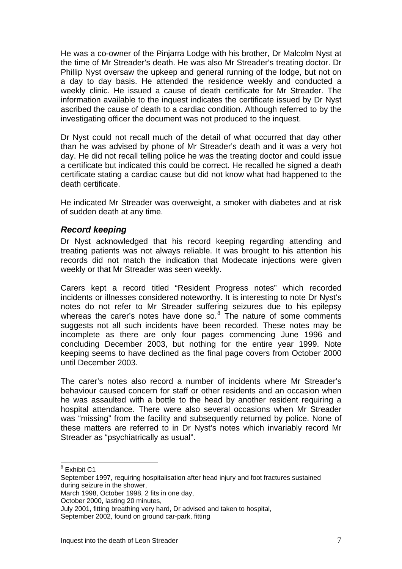He was a co-owner of the Pinjarra Lodge with his brother, Dr Malcolm Nyst at the time of Mr Streader's death. He was also Mr Streader's treating doctor. Dr Phillip Nyst oversaw the upkeep and general running of the lodge, but not on a day to day basis. He attended the residence weekly and conducted a weekly clinic. He issued a cause of death certificate for Mr Streader. The information available to the inquest indicates the certificate issued by Dr Nyst ascribed the cause of death to a cardiac condition. Although referred to by the investigating officer the document was not produced to the inquest.

Dr Nyst could not recall much of the detail of what occurred that day other than he was advised by phone of Mr Streader's death and it was a very hot day. He did not recall telling police he was the treating doctor and could issue a certificate but indicated this could be correct. He recalled he signed a death certificate stating a cardiac cause but did not know what had happened to the death certificate.

He indicated Mr Streader was overweight, a smoker with diabetes and at risk of sudden death at any time.

#### *Record keeping*

Dr Nyst acknowledged that his record keeping regarding attending and treating patients was not always reliable. It was brought to his attention his records did not match the indication that Modecate injections were given weekly or that Mr Streader was seen weekly.

Carers kept a record titled "Resident Progress notes" which recorded incidents or illnesses considered noteworthy. It is interesting to note Dr Nyst's notes do not refer to Mr Streader suffering seizures due to his epilepsy whereas the carer's notes have done so. $8$  The nature of some comments suggests not all such incidents have been recorded. These notes may be incomplete as there are only four pages commencing June 1996 and concluding December 2003, but nothing for the entire year 1999. Note keeping seems to have declined as the final page covers from October 2000 until December 2003.

The carer's notes also record a number of incidents where Mr Streader's behaviour caused concern for staff or other residents and an occasion when he was assaulted with a bottle to the head by another resident requiring a hospital attendance. There were also several occasions when Mr Streader was "missing" from the facility and subsequently returned by police. None of these matters are referred to in Dr Nyst's notes which invariably record Mr Streader as "psychiatrically as usual".

<sup>&</sup>lt;sup>8</sup> Exhibit C1

<span id="page-7-0"></span>September 1997, requiring hospitalisation after head injury and foot fractures sustained during seizure in the shower,

March 1998, October 1998, 2 fits in one day,

October 2000, lasting 20 minutes,

July 2001, fitting breathing very hard, Dr advised and taken to hospital,

September 2002, found on ground car-park, fitting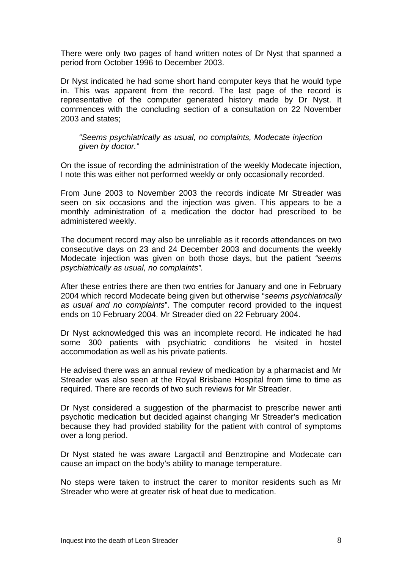There were only two pages of hand written notes of Dr Nyst that spanned a period from October 1996 to December 2003.

Dr Nyst indicated he had some short hand computer keys that he would type in. This was apparent from the record. The last page of the record is representative of the computer generated history made by Dr Nyst. It commences with the concluding section of a consultation on 22 November 2003 and states;

*"Seems psychiatrically as usual, no complaints, Modecate injection given by doctor."* 

On the issue of recording the administration of the weekly Modecate injection, I note this was either not performed weekly or only occasionally recorded.

From June 2003 to November 2003 the records indicate Mr Streader was seen on six occasions and the injection was given. This appears to be a monthly administration of a medication the doctor had prescribed to be administered weekly.

The document record may also be unreliable as it records attendances on two consecutive days on 23 and 24 December 2003 and documents the weekly Modecate injection was given on both those days, but the patient *"seems psychiatrically as usual, no complaints".*

After these entries there are then two entries for January and one in February 2004 which record Modecate being given but otherwise "*seems psychiatrically as usual and no complaints*". The computer record provided to the inquest ends on 10 February 2004. Mr Streader died on 22 February 2004.

Dr Nyst acknowledged this was an incomplete record. He indicated he had some 300 patients with psychiatric conditions he visited in hostel accommodation as well as his private patients.

He advised there was an annual review of medication by a pharmacist and Mr Streader was also seen at the Royal Brisbane Hospital from time to time as required. There are records of two such reviews for Mr Streader.

Dr Nyst considered a suggestion of the pharmacist to prescribe newer anti psychotic medication but decided against changing Mr Streader's medication because they had provided stability for the patient with control of symptoms over a long period.

Dr Nyst stated he was aware Largactil and Benztropine and Modecate can cause an impact on the body's ability to manage temperature.

No steps were taken to instruct the carer to monitor residents such as Mr Streader who were at greater risk of heat due to medication.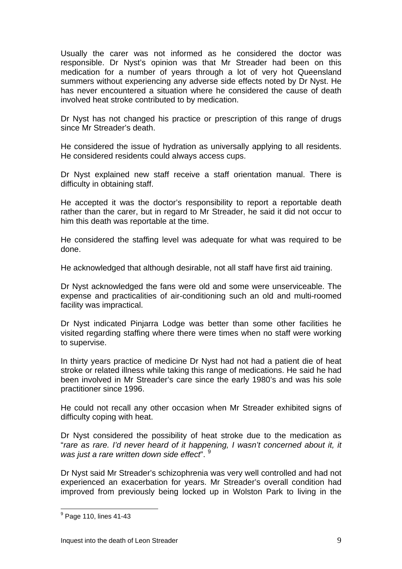Usually the carer was not informed as he considered the doctor was responsible. Dr Nyst's opinion was that Mr Streader had been on this medication for a number of years through a lot of very hot Queensland summers without experiencing any adverse side effects noted by Dr Nyst. He has never encountered a situation where he considered the cause of death involved heat stroke contributed to by medication.

Dr Nyst has not changed his practice or prescription of this range of drugs since Mr Streader's death.

He considered the issue of hydration as universally applying to all residents. He considered residents could always access cups.

Dr Nyst explained new staff receive a staff orientation manual. There is difficulty in obtaining staff.

He accepted it was the doctor's responsibility to report a reportable death rather than the carer, but in regard to Mr Streader, he said it did not occur to him this death was reportable at the time.

He considered the staffing level was adequate for what was required to be done.

He acknowledged that although desirable, not all staff have first aid training.

Dr Nyst acknowledged the fans were old and some were unserviceable. The expense and practicalities of air-conditioning such an old and multi-roomed facility was impractical.

Dr Nyst indicated Pinjarra Lodge was better than some other facilities he visited regarding staffing where there were times when no staff were working to supervise.

In thirty years practice of medicine Dr Nyst had not had a patient die of heat stroke or related illness while taking this range of medications. He said he had been involved in Mr Streader's care since the early 1980's and was his sole practitioner since 1996.

He could not recall any other occasion when Mr Streader exhibited signs of difficulty coping with heat.

Dr Nyst considered the possibility of heat stroke due to the medication as "*rare as rare. I'd never heard of it happening, I wasn't concerned about it, it was just a rare written down side effect*". [9](#page-9-0)

Dr Nyst said Mr Streader's schizophrenia was very well controlled and had not experienced an exacerbation for years. Mr Streader's overall condition had improved from previously being locked up in Wolston Park to living in the

<span id="page-9-0"></span> $<sup>9</sup>$  Page 110, lines 41-43</sup>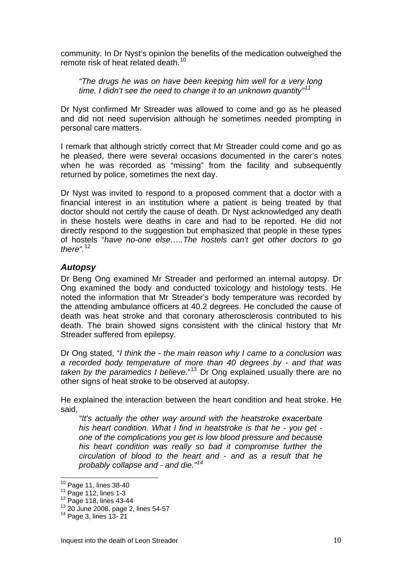community. In Dr Nyst's opinion the benefits of the medication outweighed the remote risk of heat related death.<sup>[10](#page-10-0)</sup>

*"The drugs he was on have been keeping him well for a very long time. I didn't see the need to change it to an unknown quantity"[11](#page-10-1)*

Dr Nyst confirmed Mr Streader was allowed to come and go as he pleased and did not need supervision although he sometimes needed prompting in personal care matters.

I remark that although strictly correct that Mr Streader could come and go as he pleased, there were several occasions documented in the carer's notes when he was recorded as "missing" from the facility and subsequently returned by police, sometimes the next day.

Dr Nyst was invited to respond to a proposed comment that a doctor with a financial interest in an institution where a patient is being treated by that doctor should not certify the cause of death. Dr Nyst acknowledged any death in these hostels were deaths in care and had to be reported. He did not directly respond to the suggestion but emphasized that people in these types of hostels "*have no-one else…..The hostels can't get other doctors to go there".*[12](#page-10-2)

## *Autopsy*

Dr Beng Ong examined Mr Streader and performed an internal autopsy. Dr Ong examined the body and conducted toxicology and histology tests. He noted the information that Mr Streader's body temperature was recorded by the attending ambulance officers at 40.2 degrees. He concluded the cause of death was heat stroke and that coronary atherosclerosis contributed to his death. The brain showed signs consistent with the clinical history that Mr Streader suffered from epilepsy.

Dr Ong stated, "*I think the - the main reason why I came to a conclusion was a recorded body temperature of more than 40 degrees by - and that was taken by the paramedics I believe*."[13](#page-10-3) Dr Ong explained usually there are no other signs of heat stroke to be observed at autopsy.

He explained the interaction between the heart condition and heat stroke. He said,

*"It's actually the other way around with the heatstroke exacerbate his heart condition. What I find in heatstroke is that he - you get one of the complications you get is low blood pressure and because his heart condition was really so bad it compromise further the circulation of blood to the heart and - and as a result that he probably collapse and - and die."[14](#page-10-4)*

<span id="page-10-0"></span><sup>&</sup>lt;sup>10</sup> Page 11, lines 38-40

<span id="page-10-2"></span><span id="page-10-1"></span><sup>&</sup>lt;sup>11</sup> Page 112, lines 1-3<br><sup>12</sup> Page 118, lines 43-44<br><sup>13</sup> 20 June 2008, page 2, lines 54-57<br><sup>14</sup> Page 3, lines 13- 21

<span id="page-10-4"></span><span id="page-10-3"></span>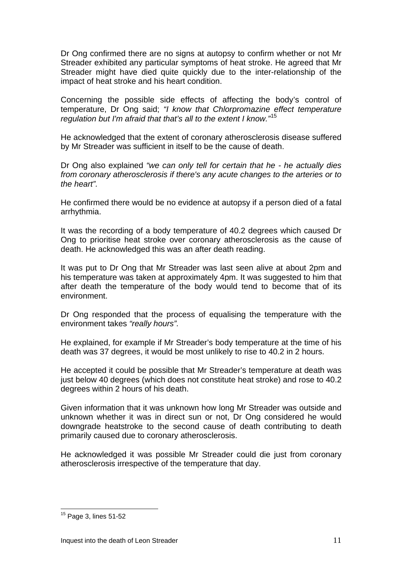Dr Ong confirmed there are no signs at autopsy to confirm whether or not Mr Streader exhibited any particular symptoms of heat stroke. He agreed that Mr Streader might have died quite quickly due to the inter-relationship of the impact of heat stroke and his heart condition.

Concerning the possible side effects of affecting the body's control of temperature, Dr Ong said; *"I know that Chlorpromazine effect temperature regulation but I'm afraid that that's all to the extent I know."*[15](#page-11-0)

He acknowledged that the extent of coronary atherosclerosis disease suffered by Mr Streader was sufficient in itself to be the cause of death.

Dr Ong also explained *"we can only tell for certain that he - he actually dies from coronary atherosclerosis if there's any acute changes to the arteries or to the heart".* 

He confirmed there would be no evidence at autopsy if a person died of a fatal arrhythmia.

It was the recording of a body temperature of 40.2 degrees which caused Dr Ong to prioritise heat stroke over coronary atherosclerosis as the cause of death. He acknowledged this was an after death reading.

It was put to Dr Ong that Mr Streader was last seen alive at about 2pm and his temperature was taken at approximately 4pm. It was suggested to him that after death the temperature of the body would tend to become that of its environment.

Dr Ong responded that the process of equalising the temperature with the environment takes *"really hours".* 

He explained, for example if Mr Streader's body temperature at the time of his death was 37 degrees, it would be most unlikely to rise to 40.2 in 2 hours.

He accepted it could be possible that Mr Streader's temperature at death was just below 40 degrees (which does not constitute heat stroke) and rose to 40.2 degrees within 2 hours of his death.

Given information that it was unknown how long Mr Streader was outside and unknown whether it was in direct sun or not, Dr Ong considered he would downgrade heatstroke to the second cause of death contributing to death primarily caused due to coronary atherosclerosis.

He acknowledged it was possible Mr Streader could die just from coronary atherosclerosis irrespective of the temperature that day.

<span id="page-11-0"></span> $15$  Page 3, lines 51-52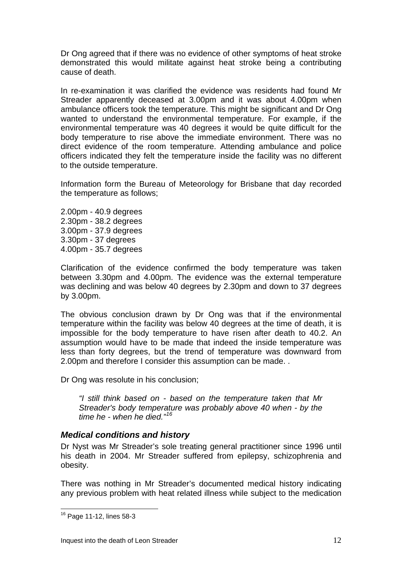Dr Ong agreed that if there was no evidence of other symptoms of heat stroke demonstrated this would militate against heat stroke being a contributing cause of death.

In re-examination it was clarified the evidence was residents had found Mr Streader apparently deceased at 3.00pm and it was about 4.00pm when ambulance officers took the temperature. This might be significant and Dr Ong wanted to understand the environmental temperature. For example, if the environmental temperature was 40 degrees it would be quite difficult for the body temperature to rise above the immediate environment. There was no direct evidence of the room temperature. Attending ambulance and police officers indicated they felt the temperature inside the facility was no different to the outside temperature.

Information form the Bureau of Meteorology for Brisbane that day recorded the temperature as follows;

2.00pm - 40.9 degrees 2.30pm - 38.2 degrees 3.00pm - 37.9 degrees 3.30pm - 37 degrees 4.00pm - 35.7 degrees

Clarification of the evidence confirmed the body temperature was taken between 3.30pm and 4.00pm. The evidence was the external temperature was declining and was below 40 degrees by 2.30pm and down to 37 degrees by 3.00pm.

The obvious conclusion drawn by Dr Ong was that if the environmental temperature within the facility was below 40 degrees at the time of death, it is impossible for the body temperature to have risen after death to 40.2. An assumption would have to be made that indeed the inside temperature was less than forty degrees, but the trend of temperature was downward from 2.00pm and therefore I consider this assumption can be made. .

Dr Ong was resolute in his conclusion;

*"I still think based on - based on the temperature taken that Mr Streader's body temperature was probably above 40 when - by the time he - when he died."[16](#page-12-0)*

## *Medical conditions and history*

Dr Nyst was Mr Streader's sole treating general practitioner since 1996 until his death in 2004. Mr Streader suffered from epilepsy, schizophrenia and obesity.

There was nothing in Mr Streader's documented medical history indicating any previous problem with heat related illness while subject to the medication

<span id="page-12-0"></span><sup>&</sup>lt;sup>16</sup> Page 11-12, lines 58-3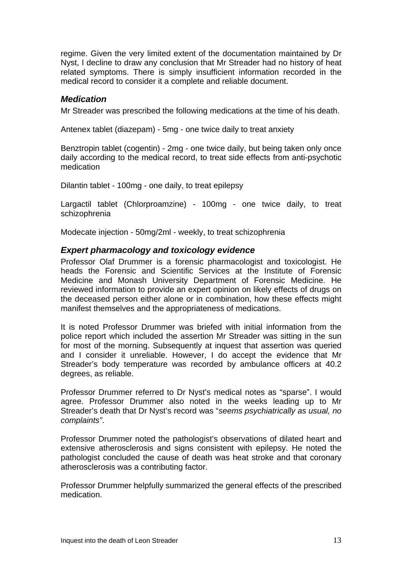regime. Given the very limited extent of the documentation maintained by Dr Nyst, I decline to draw any conclusion that Mr Streader had no history of heat related symptoms. There is simply insufficient information recorded in the medical record to consider it a complete and reliable document.

#### *Medication*

Mr Streader was prescribed the following medications at the time of his death.

Antenex tablet (diazepam) - 5mg - one twice daily to treat anxiety

Benztropin tablet (cogentin) - 2mg - one twice daily, but being taken only once daily according to the medical record, to treat side effects from anti-psychotic medication

Dilantin tablet - 100mg - one daily, to treat epilepsy

Largactil tablet (Chlorproamzine) - 100mg - one twice daily, to treat schizophrenia

Modecate injection - 50mg/2ml - weekly, to treat schizophrenia

#### *Expert pharmacology and toxicology evidence*

Professor Olaf Drummer is a forensic pharmacologist and toxicologist. He heads the Forensic and Scientific Services at the Institute of Forensic Medicine and Monash University Department of Forensic Medicine. He reviewed information to provide an expert opinion on likely effects of drugs on the deceased person either alone or in combination, how these effects might manifest themselves and the appropriateness of medications.

It is noted Professor Drummer was briefed with initial information from the police report which included the assertion Mr Streader was sitting in the sun for most of the morning. Subsequently at inquest that assertion was queried and I consider it unreliable. However, I do accept the evidence that Mr Streader's body temperature was recorded by ambulance officers at 40.2 degrees, as reliable.

Professor Drummer referred to Dr Nyst's medical notes as "sparse". I would agree. Professor Drummer also noted in the weeks leading up to Mr Streader's death that Dr Nyst's record was "*seems psychiatrically as usual, no complaints"*.

Professor Drummer noted the pathologist's observations of dilated heart and extensive atherosclerosis and signs consistent with epilepsy. He noted the pathologist concluded the cause of death was heat stroke and that coronary atherosclerosis was a contributing factor.

Professor Drummer helpfully summarized the general effects of the prescribed medication.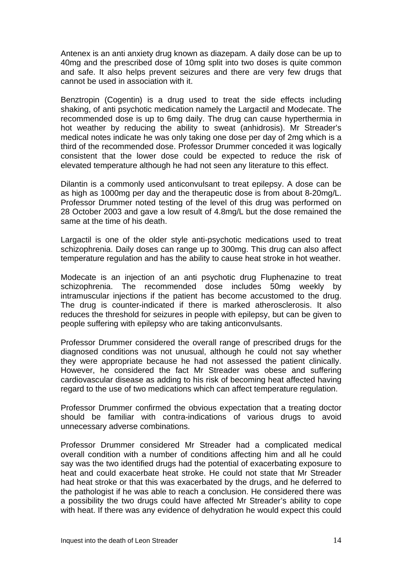Antenex is an anti anxiety drug known as diazepam. A daily dose can be up to 40mg and the prescribed dose of 10mg split into two doses is quite common and safe. It also helps prevent seizures and there are very few drugs that cannot be used in association with it.

Benztropin (Cogentin) is a drug used to treat the side effects including shaking, of anti psychotic medication namely the Largactil and Modecate. The recommended dose is up to 6mg daily. The drug can cause hyperthermia in hot weather by reducing the ability to sweat (anhidrosis). Mr Streader's medical notes indicate he was only taking one dose per day of 2mg which is a third of the recommended dose. Professor Drummer conceded it was logically consistent that the lower dose could be expected to reduce the risk of elevated temperature although he had not seen any literature to this effect.

Dilantin is a commonly used anticonvulsant to treat epilepsy. A dose can be as high as 1000mg per day and the therapeutic dose is from about 8-20mg/L. Professor Drummer noted testing of the level of this drug was performed on 28 October 2003 and gave a low result of 4.8mg/L but the dose remained the same at the time of his death.

Largactil is one of the older style anti-psychotic medications used to treat schizophrenia. Daily doses can range up to 300mg. This drug can also affect temperature regulation and has the ability to cause heat stroke in hot weather.

Modecate is an injection of an anti psychotic drug Fluphenazine to treat schizophrenia. The recommended dose includes 50mg weekly by intramuscular injections if the patient has become accustomed to the drug. The drug is counter-indicated if there is marked atherosclerosis. It also reduces the threshold for seizures in people with epilepsy, but can be given to people suffering with epilepsy who are taking anticonvulsants.

Professor Drummer considered the overall range of prescribed drugs for the diagnosed conditions was not unusual, although he could not say whether they were appropriate because he had not assessed the patient clinically. However, he considered the fact Mr Streader was obese and suffering cardiovascular disease as adding to his risk of becoming heat affected having regard to the use of two medications which can affect temperature regulation.

Professor Drummer confirmed the obvious expectation that a treating doctor should be familiar with contra-indications of various drugs to avoid unnecessary adverse combinations.

Professor Drummer considered Mr Streader had a complicated medical overall condition with a number of conditions affecting him and all he could say was the two identified drugs had the potential of exacerbating exposure to heat and could exacerbate heat stroke. He could not state that Mr Streader had heat stroke or that this was exacerbated by the drugs, and he deferred to the pathologist if he was able to reach a conclusion. He considered there was a possibility the two drugs could have affected Mr Streader's ability to cope with heat. If there was any evidence of dehydration he would expect this could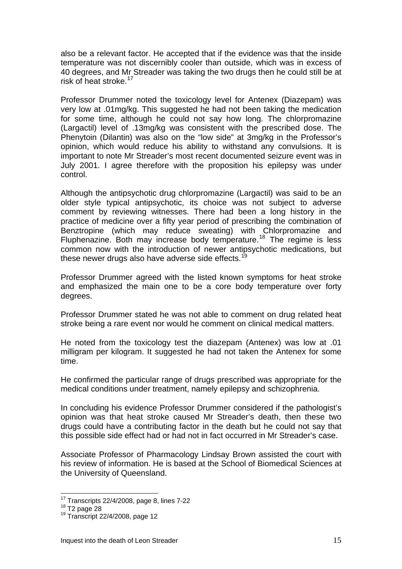also be a relevant factor. He accepted that if the evidence was that the inside temperature was not discernibly cooler than outside, which was in excess of 40 degrees, and Mr Streader was taking the two drugs then he could still be at risk of heat stroke.<sup>[17](#page-15-0)</sup>

Professor Drummer noted the toxicology level for Antenex (Diazepam) was very low at .01mg/kg. This suggested he had not been taking the medication for some time, although he could not say how long. The chlorpromazine (Largactil) level of .13mg/kg was consistent with the prescribed dose. The Phenytoin (Dilantin) was also on the "low side" at 3mg/kg in the Professor's opinion, which would reduce his ability to withstand any convulsions. It is important to note Mr Streader's most recent documented seizure event was in July 2001. I agree therefore with the proposition his epilepsy was under control.

Although the antipsychotic drug chlorpromazine (Largactil) was said to be an older style typical antipsychotic, its choice was not subject to adverse comment by reviewing witnesses. There had been a long history in the practice of medicine over a fifty year period of prescribing the combination of Benztropine (which may reduce sweating) with Chlorpromazine and Fluphenazine. Both may increase body temperature.<sup>[18](#page-15-1)</sup> The regime is less common now with the introduction of newer antipsychotic medications, but these newer drugs also have adverse side effects.<sup>[19](#page-15-2)</sup>

Professor Drummer agreed with the listed known symptoms for heat stroke and emphasized the main one to be a core body temperature over forty degrees.

Professor Drummer stated he was not able to comment on drug related heat stroke being a rare event nor would he comment on clinical medical matters.

He noted from the toxicology test the diazepam (Antenex) was low at .01 milligram per kilogram. It suggested he had not taken the Antenex for some time.

He confirmed the particular range of drugs prescribed was appropriate for the medical conditions under treatment, namely epilepsy and schizophrenia.

In concluding his evidence Professor Drummer considered if the pathologist's opinion was that heat stroke caused Mr Streader's death, then these two drugs could have a contributing factor in the death but he could not say that this possible side effect had or had not in fact occurred in Mr Streader's case.

Associate Professor of Pharmacology Lindsay Brown assisted the court with his review of information. He is based at the School of Biomedical Sciences at the University of Queensland.

<span id="page-15-1"></span><span id="page-15-0"></span><sup>&</sup>lt;sup>17</sup> Transcripts 22/4/2008, page 8, lines 7-22<br><sup>18</sup> T2 page 28<br><sup>19</sup> Transcript 22/4/2008, page 12

<span id="page-15-2"></span>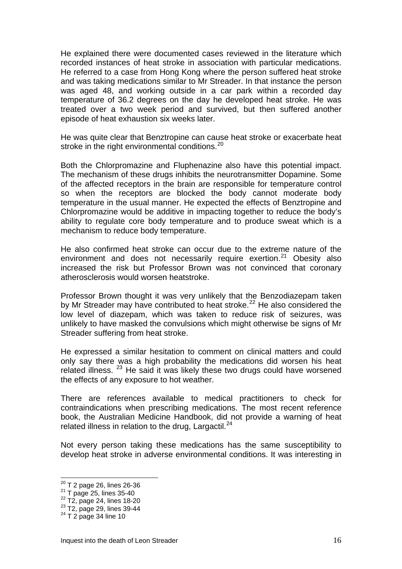He explained there were documented cases reviewed in the literature which recorded instances of heat stroke in association with particular medications. He referred to a case from Hong Kong where the person suffered heat stroke and was taking medications similar to Mr Streader. In that instance the person was aged 48, and working outside in a car park within a recorded day temperature of 36.2 degrees on the day he developed heat stroke. He was treated over a two week period and survived, but then suffered another episode of heat exhaustion six weeks later.

He was quite clear that Benztropine can cause heat stroke or exacerbate heat stroke in the right environmental conditions.<sup>[20](#page-16-0)</sup>

Both the Chlorpromazine and Fluphenazine also have this potential impact. The mechanism of these drugs inhibits the neurotransmitter Dopamine. Some of the affected receptors in the brain are responsible for temperature control so when the receptors are blocked the body cannot moderate body temperature in the usual manner. He expected the effects of Benztropine and Chlorpromazine would be additive in impacting together to reduce the body's ability to regulate core body temperature and to produce sweat which is a mechanism to reduce body temperature.

He also confirmed heat stroke can occur due to the extreme nature of the environment and does not necessarily require exertion.<sup>[21](#page-16-1)</sup> Obesity also increased the risk but Professor Brown was not convinced that coronary atherosclerosis would worsen heatstroke.

Professor Brown thought it was very unlikely that the Benzodiazepam taken by Mr Streader may have contributed to heat stroke.<sup>[22](#page-16-2)</sup> He also considered the low level of diazepam, which was taken to reduce risk of seizures, was unlikely to have masked the convulsions which might otherwise be signs of Mr Streader suffering from heat stroke.

He expressed a similar hesitation to comment on clinical matters and could only say there was a high probability the medications did worsen his heat related illness.  $^{23}$  $^{23}$  $^{23}$  He said it was likely these two drugs could have worsened the effects of any exposure to hot weather.

There are references available to medical practitioners to check for contraindications when prescribing medications. The most recent reference book, the Australian Medicine Handbook, did not provide a warning of heat related illness in relation to the drug, Largactil. $^{24}$  $^{24}$  $^{24}$ 

Not every person taking these medications has the same susceptibility to develop heat stroke in adverse environmental conditions. It was interesting in

<span id="page-16-0"></span> $20$  T 2 page 26, lines 26-36

<span id="page-16-2"></span>

<span id="page-16-1"></span><sup>&</sup>lt;sup>21</sup> T page 25, lines 35-40<br><sup>22</sup> T2, page 24, lines 18-20<br><sup>23</sup> T2, page 29, lines 39-44<br><sup>24</sup> T 2 page 34 line 10

<span id="page-16-4"></span><span id="page-16-3"></span>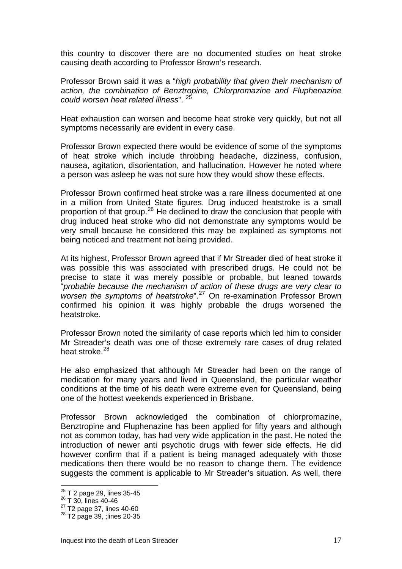this country to discover there are no documented studies on heat stroke causing death according to Professor Brown's research.

Professor Brown said it was a "*high probability that given their mechanism of action, the combination of Benztropine, Chlorpromazine and Fluphenazine could worsen heat related illness*". [25](#page-17-0)

Heat exhaustion can worsen and become heat stroke very quickly, but not all symptoms necessarily are evident in every case.

Professor Brown expected there would be evidence of some of the symptoms of heat stroke which include throbbing headache, dizziness, confusion, nausea, agitation, disorientation, and hallucination. However he noted where a person was asleep he was not sure how they would show these effects.

Professor Brown confirmed heat stroke was a rare illness documented at one in a million from United State figures. Drug induced heatstroke is a small proportion of that group.<sup>[26](#page-17-1)</sup> He declined to draw the conclusion that people with drug induced heat stroke who did not demonstrate any symptoms would be very small because he considered this may be explained as symptoms not being noticed and treatment not being provided.

At its highest, Professor Brown agreed that if Mr Streader died of heat stroke it was possible this was associated with prescribed drugs. He could not be precise to state it was merely possible or probable, but leaned towards "*probable because the mechanism of action of these drugs are very clear to worsen the symptoms of heatstroke*".[27](#page-17-2) On re-examination Professor Brown confirmed his opinion it was highly probable the drugs worsened the heatstroke.

Professor Brown noted the similarity of case reports which led him to consider Mr Streader's death was one of those extremely rare cases of drug related heat stroke. $^{28}$  $^{28}$  $^{28}$ 

He also emphasized that although Mr Streader had been on the range of medication for many years and lived in Queensland, the particular weather conditions at the time of his death were extreme even for Queensland, being one of the hottest weekends experienced in Brisbane.

Professor Brown acknowledged the combination of chlorpromazine, Benztropine and Fluphenazine has been applied for fifty years and although not as common today, has had very wide application in the past. He noted the introduction of newer anti psychotic drugs with fewer side effects. He did however confirm that if a patient is being managed adequately with those medications then there would be no reason to change them. The evidence suggests the comment is applicable to Mr Streader's situation. As well, there

<sup>&</sup>lt;sup>25</sup> T 2 page 29, lines 35-45<br><sup>26</sup> T 30, lines 40-46

<span id="page-17-1"></span><span id="page-17-0"></span> $^{26}$  T 30, lines 40-46<br> $^{27}$  T2 page 37, lines 40-60<br> $^{28}$  T2 page 39, ;lines 20-35

<span id="page-17-3"></span><span id="page-17-2"></span>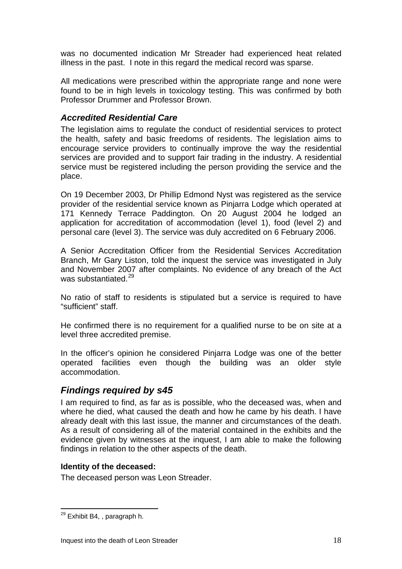was no documented indication Mr Streader had experienced heat related illness in the past. I note in this regard the medical record was sparse.

All medications were prescribed within the appropriate range and none were found to be in high levels in toxicology testing. This was confirmed by both Professor Drummer and Professor Brown.

#### *Accredited Residential Care*

The legislation aims to regulate the conduct of residential services to protect the health, safety and basic freedoms of residents. The legislation aims to encourage service providers to continually improve the way the residential services are provided and to support fair trading in the industry. A residential service must be registered including the person providing the service and the place.

On 19 December 2003, Dr Phillip Edmond Nyst was registered as the service provider of the residential service known as Pinjarra Lodge which operated at 171 Kennedy Terrace Paddington. On 20 August 2004 he lodged an application for accreditation of accommodation (level 1), food (level 2) and personal care (level 3). The service was duly accredited on 6 February 2006.

A Senior Accreditation Officer from the Residential Services Accreditation Branch, Mr Gary Liston, told the inquest the service was investigated in July and November 2007 after complaints. No evidence of any breach of the Act was substantiated.<sup>[29](#page-18-0)</sup>

No ratio of staff to residents is stipulated but a service is required to have "sufficient" staff.

He confirmed there is no requirement for a qualified nurse to be on site at a level three accredited premise.

In the officer's opinion he considered Pinjarra Lodge was one of the better operated facilities even though the building was an older style accommodation.

## *Findings required by s45*

I am required to find, as far as is possible, who the deceased was, when and where he died, what caused the death and how he came by his death. I have already dealt with this last issue, the manner and circumstances of the death. As a result of considering all of the material contained in the exhibits and the evidence given by witnesses at the inquest, I am able to make the following findings in relation to the other aspects of the death.

#### **Identity of the deceased:**

The deceased person was Leon Streader.

<span id="page-18-0"></span> $\overline{a}$ <sup>29</sup> Exhibit B4, , paragraph h.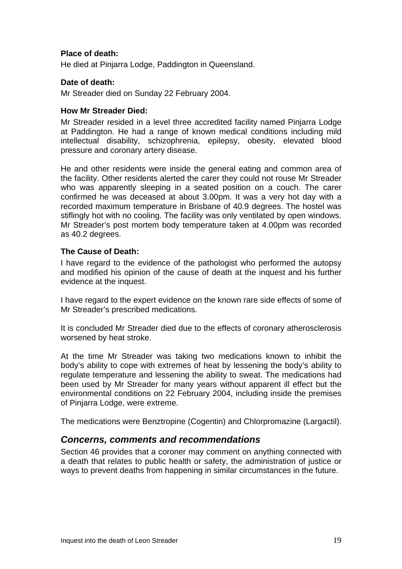#### **Place of death:**

He died at Pinjarra Lodge, Paddington in Queensland.

#### **Date of death:**

Mr Streader died on Sunday 22 February 2004.

#### **How Mr Streader Died:**

Mr Streader resided in a level three accredited facility named Pinjarra Lodge at Paddington. He had a range of known medical conditions including mild intellectual disability, schizophrenia, epilepsy, obesity, elevated blood pressure and coronary artery disease.

He and other residents were inside the general eating and common area of the facility. Other residents alerted the carer they could not rouse Mr Streader who was apparently sleeping in a seated position on a couch. The carer confirmed he was deceased at about 3.00pm. It was a very hot day with a recorded maximum temperature in Brisbane of 40.9 degrees. The hostel was stiflingly hot with no cooling. The facility was only ventilated by open windows. Mr Streader's post mortem body temperature taken at 4.00pm was recorded as 40.2 degrees.

#### **The Cause of Death:**

I have regard to the evidence of the pathologist who performed the autopsy and modified his opinion of the cause of death at the inquest and his further evidence at the inquest.

I have regard to the expert evidence on the known rare side effects of some of Mr Streader's prescribed medications.

It is concluded Mr Streader died due to the effects of coronary atherosclerosis worsened by heat stroke.

At the time Mr Streader was taking two medications known to inhibit the body's ability to cope with extremes of heat by lessening the body's ability to regulate temperature and lessening the ability to sweat. The medications had been used by Mr Streader for many years without apparent ill effect but the environmental conditions on 22 February 2004, including inside the premises of Pinjarra Lodge, were extreme.

The medications were Benztropine (Cogentin) and Chlorpromazine (Largactil).

## *Concerns, comments and recommendations*

Section 46 provides that a coroner may comment on anything connected with a death that relates to public health or safety, the administration of justice or ways to prevent deaths from happening in similar circumstances in the future.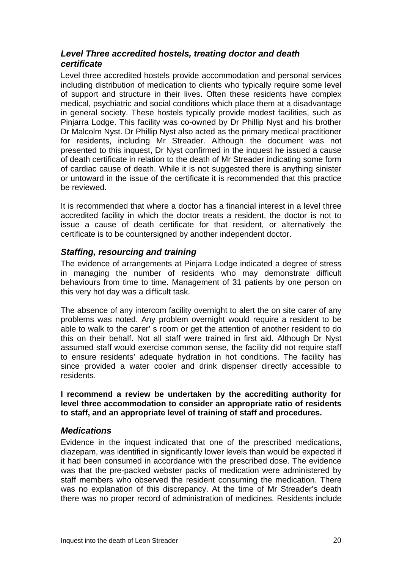## *Level Three accredited hostels, treating doctor and death certificate*

Level three accredited hostels provide accommodation and personal services including distribution of medication to clients who typically require some level of support and structure in their lives. Often these residents have complex medical, psychiatric and social conditions which place them at a disadvantage in general society. These hostels typically provide modest facilities, such as Pinjarra Lodge. This facility was co-owned by Dr Phillip Nyst and his brother Dr Malcolm Nyst. Dr Phillip Nyst also acted as the primary medical practitioner for residents, including Mr Streader. Although the document was not presented to this inquest, Dr Nyst confirmed in the inquest he issued a cause of death certificate in relation to the death of Mr Streader indicating some form of cardiac cause of death. While it is not suggested there is anything sinister or untoward in the issue of the certificate it is recommended that this practice be reviewed.

It is recommended that where a doctor has a financial interest in a level three accredited facility in which the doctor treats a resident, the doctor is not to issue a cause of death certificate for that resident, or alternatively the certificate is to be countersigned by another independent doctor.

## *Staffing, resourcing and training*

The evidence of arrangements at Pinjarra Lodge indicated a degree of stress in managing the number of residents who may demonstrate difficult behaviours from time to time. Management of 31 patients by one person on this very hot day was a difficult task.

The absence of any intercom facility overnight to alert the on site carer of any problems was noted. Any problem overnight would require a resident to be able to walk to the carer' s room or get the attention of another resident to do this on their behalf. Not all staff were trained in first aid. Although Dr Nyst assumed staff would exercise common sense, the facility did not require staff to ensure residents' adequate hydration in hot conditions. The facility has since provided a water cooler and drink dispenser directly accessible to residents.

**I recommend a review be undertaken by the accrediting authority for level three accommodation to consider an appropriate ratio of residents to staff, and an appropriate level of training of staff and procedures.** 

## *Medications*

Evidence in the inquest indicated that one of the prescribed medications, diazepam, was identified in significantly lower levels than would be expected if it had been consumed in accordance with the prescribed dose. The evidence was that the pre-packed webster packs of medication were administered by staff members who observed the resident consuming the medication. There was no explanation of this discrepancy. At the time of Mr Streader's death there was no proper record of administration of medicines. Residents include